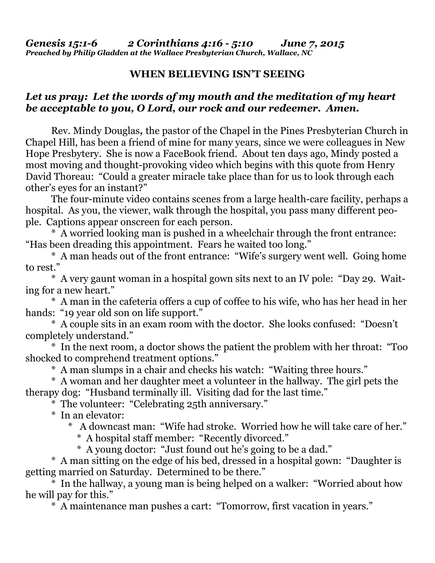## **WHEN BELIEVING ISN'T SEEING**

## *Let us pray: Let the words of my mouth and the meditation of my heart be acceptable to you, O Lord, our rock and our redeemer. Amen.*

Rev. Mindy Douglas*,* the pastor of the Chapel in the Pines Presbyterian Church in Chapel Hill, has been a friend of mine for many years, since we were colleagues in New Hope Presbytery. She is now a FaceBook friend. About ten days ago, Mindy posted a most moving and thought-provoking video which begins with this quote from Henry David Thoreau: "Could a greater miracle take place than for us to look through each other's eyes for an instant?"

 The four-minute video contains scenes from a large health-care facility, perhaps a hospital. As you, the viewer, walk through the hospital, you pass many different people. Captions appear onscreen for each person.

 \* A worried looking man is pushed in a wheelchair through the front entrance: "Has been dreading this appointment. Fears he waited too long."

 \* A man heads out of the front entrance: "Wife's surgery went well. Going home to rest."

 \* A very gaunt woman in a hospital gown sits next to an IV pole: "Day 29. Waiting for a new heart."

 \* A man in the cafeteria offers a cup of coffee to his wife, who has her head in her hands: "19 year old son on life support."

 \* A couple sits in an exam room with the doctor. She looks confused: "Doesn't completely understand."

 \* In the next room, a doctor shows the patient the problem with her throat: "Too shocked to comprehend treatment options."

\* A man slumps in a chair and checks his watch: "Waiting three hours."

 \* A woman and her daughter meet a volunteer in the hallway. The girl pets the therapy dog: "Husband terminally ill. Visiting dad for the last time."

\* The volunteer: "Celebrating 25th anniversary."

\* In an elevator:

A downcast man: "Wife had stroke. Worried how he will take care of her."

- \* A hospital staff member: "Recently divorced."
- \* A young doctor: "Just found out he's going to be a dad."

 \* A man sitting on the edge of his bed, dressed in a hospital gown: "Daughter is getting married on Saturday. Determined to be there."

 \* In the hallway, a young man is being helped on a walker: "Worried about how he will pay for this."

\* A maintenance man pushes a cart: "Tomorrow, first vacation in years."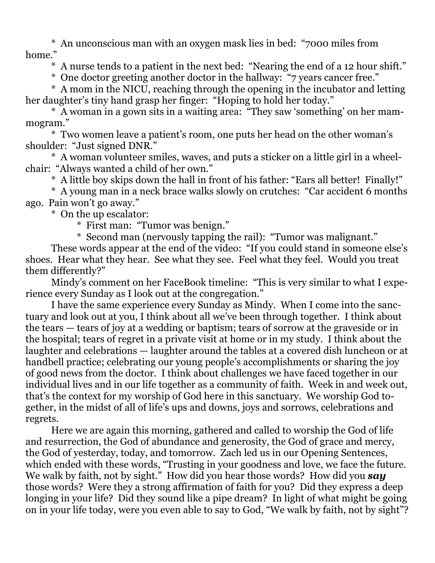\* An unconscious man with an oxygen mask lies in bed: "7000 miles from home."

\* A nurse tends to a patient in the next bed: "Nearing the end of a 12 hour shift."

\* One doctor greeting another doctor in the hallway: "7 years cancer free."

 \* A mom in the NICU, reaching through the opening in the incubator and letting her daughter's tiny hand grasp her finger: "Hoping to hold her today."

 \* A woman in a gown sits in a waiting area: "They saw 'something' on her mammogram."

 \* Two women leave a patient's room, one puts her head on the other woman's shoulder: "Just signed DNR."

 \* A woman volunteer smiles, waves, and puts a sticker on a little girl in a wheelchair: "Always wanted a child of her own."

\* A little boy skips down the hall in front of his father: "Ears all better! Finally!"

 \* A young man in a neck brace walks slowly on crutches: "Car accident 6 months ago. Pain won't go away."

\* On the up escalator:

\* First man: "Tumor was benign."

\* Second man (nervously tapping the rail): "Tumor was malignant."

 These words appear at the end of the video: "If you could stand in someone else's shoes. Hear what they hear. See what they see. Feel what they feel. Would you treat them differently?"

 Mindy's comment on her FaceBook timeline: "This is very similar to what I experience every Sunday as I look out at the congregation."

 I have the same experience every Sunday as Mindy. When I come into the sanctuary and look out at you, I think about all we've been through together. I think about the tears — tears of joy at a wedding or baptism; tears of sorrow at the graveside or in the hospital; tears of regret in a private visit at home or in my study. I think about the laughter and celebrations — laughter around the tables at a covered dish luncheon or at handbell practice; celebrating our young people's accomplishments or sharing the joy of good news from the doctor. I think about challenges we have faced together in our individual lives and in our life together as a community of faith. Week in and week out, that's the context for my worship of God here in this sanctuary. We worship God together, in the midst of all of life's ups and downs, joys and sorrows, celebrations and regrets.

 Here we are again this morning, gathered and called to worship the God of life and resurrection, the God of abundance and generosity, the God of grace and mercy, the God of yesterday, today, and tomorrow. Zach led us in our Opening Sentences, which ended with these words, "Trusting in your goodness and love, we face the future. We walk by faith, not by sight." How did you hear those words? How did you *say*  those words? Were they a strong affirmation of faith for you? Did they express a deep longing in your life? Did they sound like a pipe dream? In light of what might be going on in your life today, were you even able to say to God, "We walk by faith, not by sight"?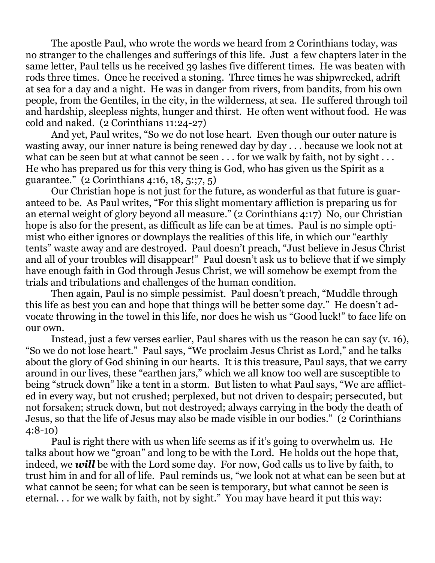The apostle Paul, who wrote the words we heard from 2 Corinthians today, was no stranger to the challenges and sufferings of this life. Just a few chapters later in the same letter, Paul tells us he received 39 lashes five different times. He was beaten with rods three times. Once he received a stoning. Three times he was shipwrecked, adrift at sea for a day and a night. He was in danger from rivers, from bandits, from his own people, from the Gentiles, in the city, in the wilderness, at sea. He suffered through toil and hardship, sleepless nights, hunger and thirst. He often went without food. He was cold and naked. (2 Corinthians 11:24-27)

 And yet, Paul writes, "So we do not lose heart. Even though our outer nature is wasting away, our inner nature is being renewed day by day . . . because we look not at what can be seen but at what cannot be seen . . . for we walk by faith, not by sight . . . He who has prepared us for this very thing is God, who has given us the Spirit as a guarantee." (2 Corinthians 4:16, 18, 5:;7, 5)

 Our Christian hope is not just for the future, as wonderful as that future is guaranteed to be. As Paul writes, "For this slight momentary affliction is preparing us for an eternal weight of glory beyond all measure." (2 Corinthians 4:17) No, our Christian hope is also for the present, as difficult as life can be at times. Paul is no simple optimist who either ignores or downplays the realities of this life, in which our "earthly tents" waste away and are destroyed. Paul doesn't preach, "Just believe in Jesus Christ and all of your troubles will disappear!" Paul doesn't ask us to believe that if we simply have enough faith in God through Jesus Christ, we will somehow be exempt from the trials and tribulations and challenges of the human condition.

 Then again, Paul is no simple pessimist. Paul doesn't preach, "Muddle through this life as best you can and hope that things will be better some day." He doesn't advocate throwing in the towel in this life, nor does he wish us "Good luck!" to face life on our own.

 Instead, just a few verses earlier, Paul shares with us the reason he can say (v. 16), "So we do not lose heart." Paul says, "We proclaim Jesus Christ as Lord," and he talks about the glory of God shining in our hearts. It is this treasure, Paul says, that we carry around in our lives, these "earthen jars," which we all know too well are susceptible to being "struck down" like a tent in a storm. But listen to what Paul says, "We are afflicted in every way, but not crushed; perplexed, but not driven to despair; persecuted, but not forsaken; struck down, but not destroyed; always carrying in the body the death of Jesus, so that the life of Jesus may also be made visible in our bodies." (2 Corinthians 4:8-10)

 Paul is right there with us when life seems as if it's going to overwhelm us. He talks about how we "groan" and long to be with the Lord. He holds out the hope that, indeed, we *will* be with the Lord some day. For now, God calls us to live by faith, to trust him in and for all of life. Paul reminds us, "we look not at what can be seen but at what cannot be seen; for what can be seen is temporary, but what cannot be seen is eternal. . . for we walk by faith, not by sight." You may have heard it put this way: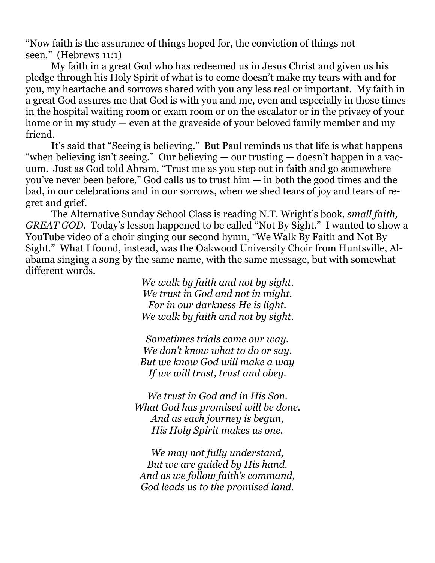"Now faith is the assurance of things hoped for, the conviction of things not seen." (Hebrews 11:1)

 My faith in a great God who has redeemed us in Jesus Christ and given us his pledge through his Holy Spirit of what is to come doesn't make my tears with and for you, my heartache and sorrows shared with you any less real or important. My faith in a great God assures me that God is with you and me, even and especially in those times in the hospital waiting room or exam room or on the escalator or in the privacy of your home or in my study — even at the graveside of your beloved family member and my friend.

 It's said that "Seeing is believing." But Paul reminds us that life is what happens "when believing isn't seeing." Our believing — our trusting — doesn't happen in a vacuum. Just as God told Abram, "Trust me as you step out in faith and go somewhere you've never been before," God calls us to trust him — in both the good times and the bad, in our celebrations and in our sorrows, when we shed tears of joy and tears of regret and grief.

 The Alternative Sunday School Class is reading N.T. Wright's book, *small faith, GREAT GOD.* Today's lesson happened to be called "Not By Sight." I wanted to show a YouTube video of a choir singing our second hymn, "We Walk By Faith and Not By Sight." What I found, instead, was the Oakwood University Choir from Huntsville, Alabama singing a song by the same name, with the same message, but with somewhat different words.

*We walk by faith and not by sight. We trust in God and not in might. For in our darkness He is light. We walk by faith and not by sight.* 

*Sometimes trials come our way. We don't know what to do or say. But we know God will make a way If we will trust, trust and obey.* 

*We trust in God and in His Son. What God has promised will be done. And as each journey is begun, His Holy Spirit makes us one.* 

*We may not fully understand, But we are guided by His hand. And as we follow faith's command, God leads us to the promised land.*